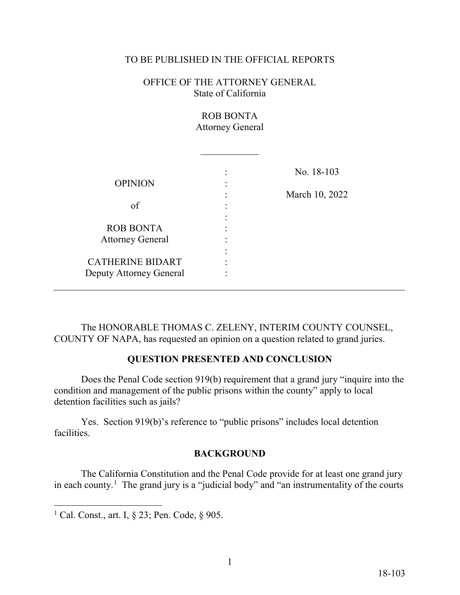#### TO BE PUBLISHED IN THE OFFICIAL REPORTS

OFFICE OF THE ATTORNEY GENERAL State of California

> ROB BONTA Attorney General

|                         | No. 18-103     |
|-------------------------|----------------|
| <b>OPINION</b>          |                |
|                         | March 10, 2022 |
| of                      |                |
|                         |                |
| <b>ROB BONTA</b>        |                |
| <b>Attorney General</b> |                |
|                         |                |
| <b>CATHERINE BIDART</b> |                |
| Deputy Attorney General |                |

The HONORABLE THOMAS C. ZELENY, INTERIM COUNTY COUNSEL, COUNTY OF NAPA, has requested an opinion on a question related to grand juries.

#### **QUESTION PRESENTED AND CONCLUSION**

 Does the Penal Code section 919(b) requirement that a grand jury "inquire into the condition and management of the public prisons within the county" apply to local detention facilities such as jails?

Yes. Section 919(b)'s reference to "public prisons" includes local detention facilities.

#### **BACKGROUND**

in each county.<sup>1</sup> The grand jury is a "judicial body" and "an instrumentality of the courts The California Constitution and the Penal Code provide for at least one grand jury

<span id="page-0-0"></span><sup>-</sup><sup>1</sup> Cal. Const., art. I,  $\S$  23; Pen. Code,  $\S$  905.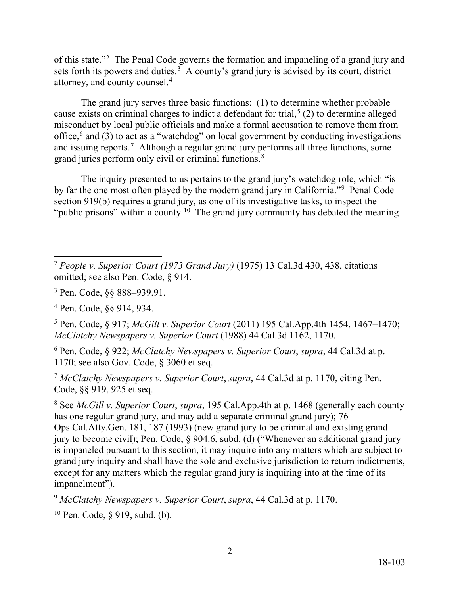of this state."<sup>2</sup> The Penal Code governs the formation and impaneling of a grand jury and sets forth its powers and duties.<sup>3</sup> A county's grand jury is advised by its court, district attorney, and county counsel.<sup>4</sup>

and issuing reports.<sup>[7](#page-1-5)</sup> Although a regular grand jury performs all three functions, some grand juries perform only civil or criminal functions.<sup>8</sup> The grand jury serves three basic functions: (1) to determine whether probable cause exists on criminal charges to indict a defendant for trial,<sup>5</sup> (2) to determine alleged misconduct by local public officials and make a formal accusation to remove them from office,<sup>[6](#page-1-4)</sup> and (3) to act as a "watchdog" on local government by conducting investigations

by far the one most often played by the modern grand jury in California."<sup>9</sup> Penal Code "public prisons" within a county.<sup>1[0](#page-1-8)</sup> The grand jury community has debated the meaning The inquiry presented to us pertains to the grand jury's watchdog role, which "is section 919(b) requires a grand jury, as one of its investigative tasks, to inspect the

2

<span id="page-1-0"></span> $\overline{a}$  omitted; see also Pen. Code, § 914. <sup>2</sup>*People v. Superior Court (1973 Grand Jury)* (1975) 13 Cal.3d 430, 438, citations

<span id="page-1-1"></span><sup>3</sup> Pen. Code, §§ [888–939.91](https://888�939.91).

<span id="page-1-2"></span> 4 Pen. Code, §§ 914, 934.

<span id="page-1-3"></span><sup>5</sup> Pen. Code, § 917; *McGill v. Superior Court* (2011) 195 Cal.App.4th 1454, 1467–1470; *McClatchy Newspapers v. Superior Court* (1988) 44 Cal.3d 1162, 1170.

<span id="page-1-4"></span><sup>6</sup> Pen. Code, § 922; *McClatchy Newspapers v. Superior Court*, *supra*, 44 Cal.3d at p. 1170; see also Gov. Code, § 3060 et seq.

<span id="page-1-5"></span><sup>7</sup>*McClatchy Newspapers v. Superior Court*, *supra*, 44 Cal.3d at p. 1170, citing Pen. Code, §§ 919, 925 et seq.

<span id="page-1-6"></span> has one regular grand jury, and may add a separate criminal grand jury); 76 8 See *McGill v. Superior Court*, *supra*, 195 Cal.App.4th at p. 1468 (generally each county Ops.Cal.Atty.Gen. 181, 187 (1993) (new grand jury to be criminal and existing grand jury to become civil); Pen. Code, § 904.6, subd. (d) ("Whenever an additional grand jury is impaneled pursuant to this section, it may inquire into any matters which are subject to grand jury inquiry and shall have the sole and exclusive jurisdiction to return indictments, except for any matters which the regular grand jury is inquiring into at the time of its impanelment").

<span id="page-1-7"></span><sup>9</sup>*McClatchy Newspapers v. Superior Court*, *supra*, 44 Cal.3d at p. 1170.

<span id="page-1-8"></span><sup>10</sup> Pen. Code, § 919, subd. (b).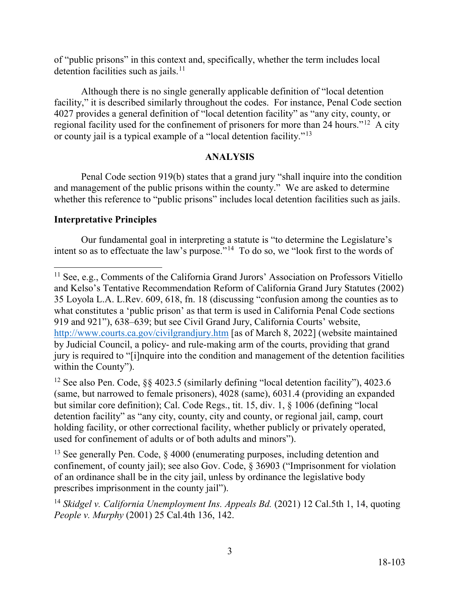detention facilities such as [jails.](https://jails.11)<sup>11</sup> of "public prisons" in this context and, specifically, whether the term includes local

regional facility used for the confinement of prisoners for more than 24 hours."<sup>[12](#page-2-1)</sup> A city or county jail is a typical example of a "local detention facility."<sup>13</sup> Although there is no single generally applicable definition of "local detention facility," it is described similarly throughout the codes. For instance, Penal Code section 4027 provides a general definition of "local detention facility" as "any city, county, or

### **ANALYSIS**

Penal Code section 919(b) states that a grand jury "shall inquire into the condition and management of the public prisons within the county." We are asked to determine whether this reference to "public prisons" includes local detention facilities such as jails.

### **Interpretative Principles**

intent so as to effectuate the law's purpose."<sup>14</sup> To do so, we "look first to the words of Our fundamental goal in interpreting a statute is "to determine the Legislature's

<span id="page-2-1"></span><sup>12</sup> See also Pen. Code, §§ 4023.5 (similarly defining "local detention facility"), 4023.6 (same, but narrowed to female prisoners), 4028 (same), 6031.4 (providing an expanded but similar core definition); Cal. Code Regs., tit. 15, div. 1, § 1006 (defining "local detention facility" as "any city, county, city and county, or regional jail, camp, court holding facility, or other correctional facility, whether publicly or privately operated, used for confinement of adults or of both adults and minors").

<span id="page-2-2"></span>prescribes imprisonment in the county jail"). <sup>13</sup> See generally Pen. Code,  $\S$  4000 (enumerating purposes, including detention and confinement, of county jail); see also Gov. Code, § 36903 ("Imprisonment for violation of an ordinance shall be in the city jail, unless by ordinance the legislative body

<span id="page-2-3"></span>prescribes imprisonment in the county jail").<br><sup>14</sup> *Skidgel v. California Unemployment Ins. Appeals Bd.* (2021) 12 Cal.5th 1, 14, quoting *People v. Murphy* (2001) 25 Cal.4th 136, 142.

<span id="page-2-0"></span> $\overline{a}$ <http://www.courts.ca.gov/civilgrandjury.htm>[as of March 8, 2022] (website maintained by Judicial Council, a policy- and rule-making arm of the courts, providing that grand <sup>11</sup> See, e.g., Comments of the California Grand Jurors' Association on Professors Vitiello and Kelso's Tentative Recommendation Reform of California Grand Jury Statutes (2002) 35 Loyola L.A. L.Rev. 609, 618, fn. 18 (discussing "confusion among the counties as to what constitutes a 'public prison' as that term is used in California Penal Code sections 919 and 921"), 638–639; but see Civil Grand Jury, California Courts' website, jury is required to "[i]nquire into the condition and management of the detention facilities within the County").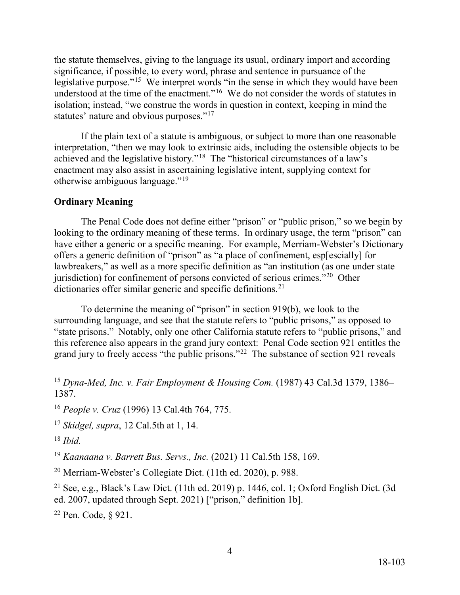legislative purpose."<sup>[15](#page-3-0)</sup> We interpret words "in the sense in which they would have been understood at the time of the enactment."<sup>16</sup> We do not consider the words of statutes in statutes' nature and obvious purposes."<sup>[17](#page-3-2)</sup> the statute themselves, giving to the language its usual, ordinary import and according significance, if possible, to every word, phrase and sentence in pursuance of the isolation; instead, "we construe the words in question in context, keeping in mind the

achieved and the legislative history."<sup>18</sup> The "historical circumstances of a law's otherwise ambiguous language."<sup>[19](#page-3-4)</sup> If the plain text of a statute is ambiguous, or subject to more than one reasonable interpretation, "then we may look to extrinsic aids, including the ostensible objects to be enactment may also assist in ascertaining legislative intent, supplying context for

### **Ordinary Meaning**

jurisdiction) for confinement of persons convicted of serious crimes."<sup>[20](#page-3-5)</sup> Other dictionaries offer similar generic and specific [definitions.](https://definitions.21)<sup>[21](#page-3-6)</sup> The Penal Code does not define either "prison" or "public prison," so we begin by looking to the ordinary meaning of these terms. In ordinary usage, the term "prison" can have either a generic or a specific meaning. For example, Merriam-Webster's Dictionary offers a generic definition of "prison" as "a place of confinement, esp[escially] for lawbreakers," as well as a more specific definition as "an institution (as one under state

 "state prisons." Notably, only one other California statute refers to "public prisons," and this reference also appears in the grand jury context: Penal Code section 921 entitles the grand jury to freely access "the public prisons."<sup>22</sup> The substance of section 921 reveals To determine the meaning of "prison" in section 919(b), we look to the surrounding language, and see that the statute refers to "public prisons," as opposed to

<span id="page-3-2"></span><sup>17</sup>*Skidgel, supra*, 12 Cal.5th at 1, 14.

<span id="page-3-3"></span><sup>18</sup>*Ibid.* 

<span id="page-3-4"></span><sup>19</sup>*Kaanaana v. Barrett Bus. Servs., Inc.* (2021) 11 Cal.5th 158, 169.

<span id="page-3-5"></span>20 Merriam-Webster's Collegiate Dict. (11th ed. 2020), p. 988.

<span id="page-3-6"></span><sup>21</sup> See, e.g., Black's Law Dict. (11th ed. 2019) p. 1446, col. 1; Oxford English Dict. (3d ed. 2007, updated through Sept. 2021) ["prison," definition 1b].<br><sup>22</sup> Pen. Code, § 921.

<span id="page-3-7"></span><sup>22</sup> Pen. Code, § 921.

<span id="page-3-0"></span> $\overline{a}$ <sup>15</sup>*Dyna-Med, Inc. v. Fair Employment & Housing Com.* (1987) 43 Cal.3d 1379, 1386– 1387.

<span id="page-3-1"></span><sup>16</sup>*People v. Cruz* (1996) 13 Cal.4th 764, 775.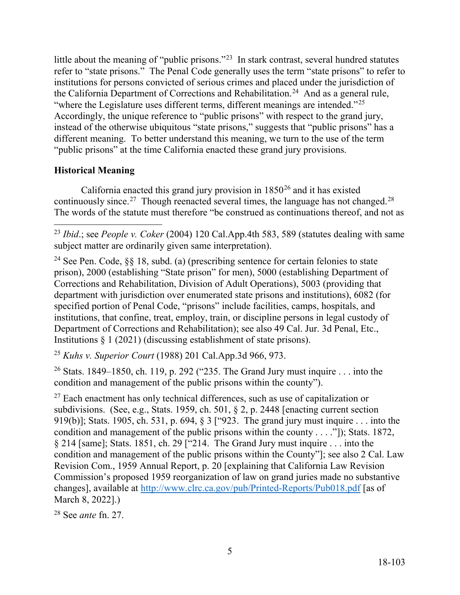little about the meaning of "public prisons."<sup>23</sup> In stark contrast, several hundred statutes refer to "state prisons." The Penal Code generally uses the term "state prisons" to refer to the California Department of Corrections and [Rehabilitation.](https://Rehabilitation.24)<sup>24</sup> And as a general rule, "where the Legislature uses different terms, different meanings are intended." $25$ institutions for persons convicted of serious crimes and placed under the jurisdiction of Accordingly, the unique reference to "public prisons" with respect to the grand jury, instead of the otherwise ubiquitous "state prisons," suggests that "public prisons" has a different meaning. To better understand this meaning, we turn to the use of the term "public prisons" at the time California enacted these grand jury provisions.

# **Historical Meaning**

continuously since.<sup>27</sup> Though reenacted several times, the language has not [changed.](https://changed.28)<sup>28</sup> California enacted this grand jury provision in  $1850^{26}$  and it has existed The words of the statute must therefore "be construed as continuations thereof, and not as

<span id="page-4-0"></span> $\overline{a}$ <sup>23</sup>*Ibid*.; see *People v. Coker* (2004) 120 Cal.App.4th 583, 589 (statutes dealing with same subject matter are ordinarily given same interpretation).

<span id="page-4-1"></span> Institutions § 1 (2021) (discussing establishment of state prisons). <sup>24</sup> See Pen. Code,  $\delta \delta$  18, subd. (a) (prescribing sentence for certain felonies to state prison), 2000 (establishing "State prison" for men), 5000 (establishing Department of Corrections and Rehabilitation, Division of Adult Operations), 5003 (providing that department with jurisdiction over enumerated state prisons and institutions), 6082 (for specified portion of Penal Code, "prisons" include facilities, camps, hospitals, and institutions, that confine, treat, employ, train, or discipline persons in legal custody of Department of Corrections and Rehabilitation); see also 49 Cal. Jur. 3d Penal, Etc.,

<span id="page-4-2"></span><sup>25</sup>*Kuhs v. Superior Court* (1988) 201 [Cal.App.3d](https://Cal.App.3d) 966, 973.

<span id="page-4-3"></span><sup>26</sup> Stats. 1849–1850, ch. 119, p. 292 ("235. The Grand Jury must inquire  $\dots$  into the condition and management of the public prisons within the county").

<span id="page-4-4"></span> subdivisions. (See, e.g., Stats. 1959, ch. 501, § 2, p. 2448 [enacting current section 919(b)]; Stats. 1905, ch. 531, p. 694, § 3 ["923. The grand jury must inquire . . . into the § 214 [same]; Stats. 1851, ch. 29 ["214. The Grand Jury must inquire . . . into the changes], available at<http://www.clrc.ca.gov/pub/Printed-Reports/Pub018.pdf>[as of  $27$  Each enactment has only technical differences, such as use of capitalization or condition and management of the public prisons within the county . . . ."]); Stats. 1872, condition and management of the public prisons within the County"]; see also 2 Cal. Law Revision Com., 1959 Annual Report, p. 20 [explaining that California Law Revision Commission's proposed 1959 reorganization of law on grand juries made no substantive March 8, 2022].)

<span id="page-4-5"></span>28 See *ante* fn. 27.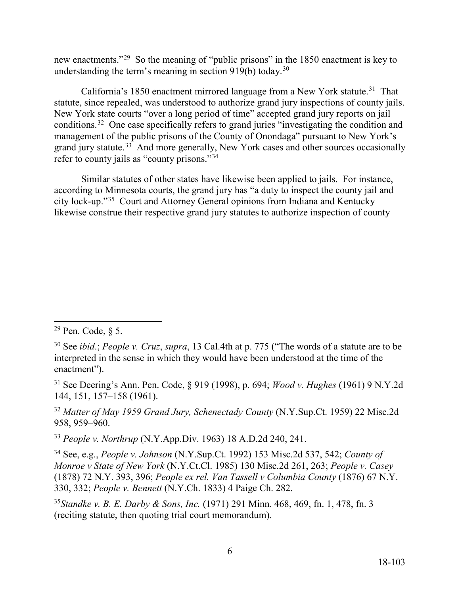new enactments."<sup>29</sup> So the meaning of "public prisons" in the 1850 enactment is key to understanding the term's meaning in section 919(b) today.<sup>[30](#page-5-1)</sup>

California's 1850 enactment mirrored language from a New York statute.<sup>31</sup> That statute, since repealed, was understood to authorize grand jury inspections of county jails. conditions.<sup>32</sup> One case specifically refers to grand juries "investigating the condition and management of the public prisons of the County of Onondaga" pursuant to New York's grand jury statute.<sup>[33](#page-5-4)</sup> And more generally, New York cases and other sources occasionally refer to county jails as "county prisons."<sup>34</sup> New York state courts "over a long period of time" accepted grand jury reports on jail

 Similar statutes of other states have likewise been applied to jails. For instance, according to Minnesota courts, the grand jury has "a duty to inspect the county jail and city lock-up."[35](#page-5-6) Court and Attorney General opinions from Indiana and Kentucky likewise construe their respective grand jury statutes to authorize inspection of county

<span id="page-5-2"></span>31 See Deering's Ann. Pen. Code, § 919 (1998), p. 694; *Wood v. Hughes* (1961) 9 N.Y.2d 144, 151, 157–158 (1961).

<span id="page-5-3"></span><sup>32</sup>*Matter of May 1959 Grand Jury, Schenectady County* ([N.Y.Sup.Ct.](https://N.Y.Sup.Ct) 1959) 22 Misc.2d 958, 959–960.

<span id="page-5-4"></span><sup>33</sup>*People v. Northrup* (N.Y.App.Div. 1963) 18 A.D.2d 240, 241.

<span id="page-5-5"></span>34 See, e.g., *People v. Johnson* ([N.Y.Sup.Ct.](https://N.Y.Sup.Ct) 1992) 153 Misc.2d 537, 542; *County of Monroe v State of New York* ([N.Y.Ct.Cl](https://N.Y.Ct.Cl). 1985) 130 Misc.2d 261, 263; *People v. Casey*  (1878) 72 N.Y. 393, 396; *People ex rel. Van Tassell v Columbia County* (1876) 67 N.Y. 330, 332; *People v. Bennett* (N.Y.Ch. 1833) 4 Paige Ch. 282.

<span id="page-5-6"></span><sup>35</sup>*Standke v. B. E. Darby & Sons, Inc.* (1971) 291 Minn. 468, 469, fn. 1, 478, fn. 3 (reciting statute, then quoting trial court memorandum).

<span id="page-5-0"></span><sup>-</sup><sup>29</sup> Pen. Code, § 5.

<span id="page-5-1"></span><sup>30</sup> See *ibid*.; *People v. Cruz*, *supra*, 13 Cal.4th at p. 775 ("The words of a statute are to be interpreted in the sense in which they would have been understood at the time of the enactment").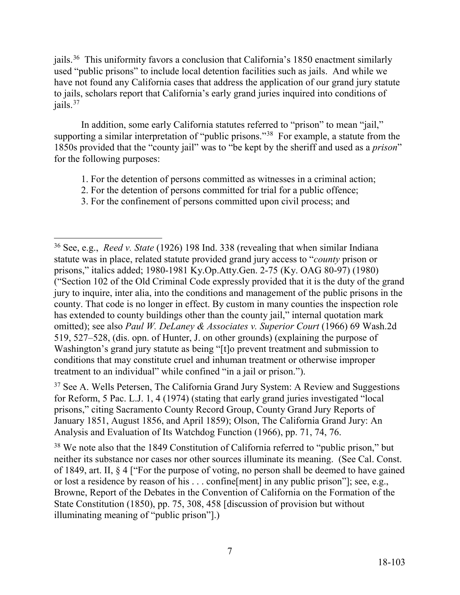jails.<sup>[36](#page-6-0)</sup> This uniformity favors a conclusion that California's 1850 enactment similarly have not found any California cases that address the application of our grand jury statute to jails, scholars report that California's early grand juries inquired into conditions of jails.<sup>[37](#page-6-1)</sup> used "public prisons" to include local detention facilities such as jails. And while we

supporting a similar interpretation of "public prisons."<sup>38</sup> For example, a statute from the In addition, some early California statutes referred to "prison" to mean "jail," 1850s provided that the "county jail" was to "be kept by the sheriff and used as a *prison*" for the following purposes:

- 1. For the detention of persons committed as witnesses in a criminal action;
- 2. For the detention of persons committed for trial for a public offence;
- 3. For the confinement of persons committed upon civil process; and

<span id="page-6-1"></span> prisons," citing Sacramento County Record Group, County Grand Jury Reports of Analysis and Evaluation of Its Watchdog Function (1966), pp. 71, 74, 76.  $37$  See A. Wells Petersen, The California Grand Jury System: A Review and Suggestions for Reform, 5 Pac. L.J. 1, 4 (1974) (stating that early grand juries investigated "local January 1851, August 1856, and April 1859); Olson, The California Grand Jury: An

<span id="page-6-2"></span> neither its substance nor cases nor other sources illuminate its meaning. (See Cal. Const. <sup>38</sup> We note also that the 1849 Constitution of California referred to "public prison," but of 1849, art. II, § 4 ["For the purpose of voting, no person shall be deemed to have gained or lost a residence by reason of his . . . confine[ment] in any public prison"]; see, e.g., Browne, Report of the Debates in the Convention of California on the Formation of the State Constitution (1850), pp. 75, 308, 458 [discussion of provision but without illuminating meaning of "public prison"].)

<span id="page-6-0"></span><sup>-</sup> 36 See, e.g., *Reed v. State* (1926) 198 Ind. 338 (revealing that when similar Indiana treatment to an individual" while confined "in a jail or prison."). statute was in place, related statute provided grand jury access to "*county* prison or prisons," italics added; 1980-1981 Ky.Op.Atty.Gen. 2-75 (Ky. OAG 80-97) (1980) ("Section 102 of the Old Criminal Code expressly provided that it is the duty of the grand jury to inquire, inter alia, into the conditions and management of the public prisons in the county. That code is no longer in effect. By custom in many counties the inspection role has extended to county buildings other than the county jail," internal quotation mark omitted); see also *Paul W. DeLaney & Associates v. Superior Court* (1966) 69 Wash.2d 519, 527–528, (dis. opn. of Hunter, J. on other grounds) (explaining the purpose of Washington's grand jury statute as being "[t]o prevent treatment and submission to conditions that may constitute cruel and inhuman treatment or otherwise improper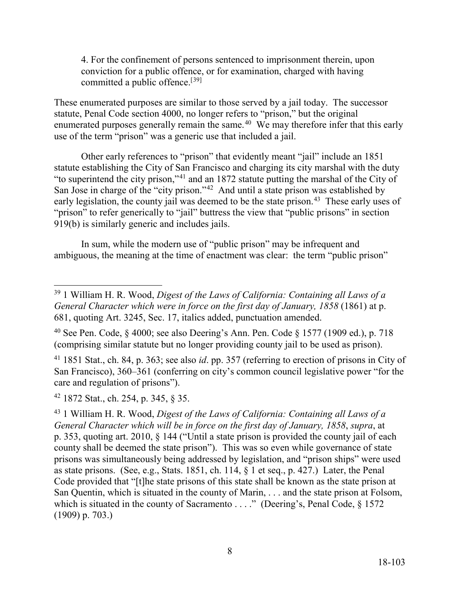committed a public offence.<sup>[[39\]](#page-7-0)</sup> 4. For the confinement of persons sentenced to imprisonment therein, upon conviction for a public offence, or for examination, charged with having

enumerated purposes generally remain the same. $40$  We may therefore infer that this early These enumerated purposes are similar to those served by a jail today. The successor statute, Penal Code section 4000, no longer refers to "prison," but the original use of the term "prison" was a generic use that included a jail.

 statute establishing the City of San Francisco and charging its city marshal with the duty "to superintend the city prison,"[41](#page-7-2) and an 1872 statute putting the marshal of the City of San Jose in charge of the "city prison."<sup>[42](#page-7-3)</sup> And until a state prison was established by early legislation, the county jail was deemed to be the state prison.<sup>43</sup> These early uses of Other early references to "prison" that evidently meant "jail" include an 1851 "prison" to refer generically to "jail" buttress the view that "public prisons" in section 919(b) is similarly generic and includes jails.

In sum, while the modern use of "public prison" may be infrequent and ambiguous, the meaning at the time of enactment was clear: the term "public prison"

<span id="page-7-2"></span> (comprising similar statute but no longer providing county jail to be used as prison). 41 1851 Stat., ch. 84, p. 363; see also *id*. pp. 357 (referring to erection of prisons in City of care and regulation of prisons"). San Francisco), 360–361 (conferring on city's common council legislative power "for the

<span id="page-7-3"></span><sup>42</sup> 1872 Stat., ch. 254, p. 345, § 35.

-

<span id="page-7-0"></span><sup>39 1</sup> William H. R. Wood, *Digest of the Laws of California: Containing all Laws of a General Character which were in force on the first day of January, 1858 (1861)* at p. 681, quoting Art. 3245, Sec. 17, italics added, punctuation amended.

<span id="page-7-1"></span><sup>(</sup>comprising similar statute but no longer providing county jail to be used as prison). <sup>40</sup> See Pen. Code,  $\S$  4000; see also Deering's Ann. Pen. Code  $\S$  1577 (1909 ed.), p. 718

<span id="page-7-4"></span> San Quentin, which is situated in the county of Marin, . . . and the state prison at Folsom, which is situated in the county of Sacramento . . . ." (Deering's, Penal Code, § 1572 (1909) p. 703.) <sup>43</sup> 1 William H. R. Wood, *Digest of the Laws of California: Containing all Laws of a General Character which will be in force on the first day of January, 1858*, *supra*, at p. 353, quoting art. 2010, § 144 ("Until a state prison is provided the county jail of each county shall be deemed the state prison"). This was so even while governance of state prisons was simultaneously being addressed by legislation, and "prison ships" were used as state prisons. (See, e.g., Stats. 1851, ch. 114, § 1 et seq., p. 427.) Later, the Penal Code provided that "[t]he state prisons of this state shall be known as the state prison at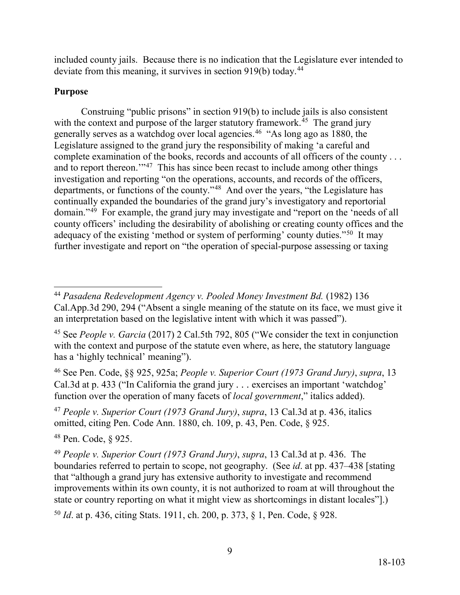deviate from this meaning, it survives in section 919(b) today.<sup>[44](#page-8-0)</sup> included county jails. Because there is no indication that the Legislature ever intended to

## **Purpose**

with the context and purpose of the larger statutory framework.<sup>[45](#page-8-1)</sup> The grand jury generally serves as a watchdog over local agencies.<sup>[46](#page-8-2)</sup> "As long ago as 1880, the complete examination of the books, records and accounts of all officers of the county . . . and to report thereon."<sup>[47](#page-8-3)</sup> This has since been recast to include among other things departments, or functions of the county."<sup>48</sup> And over the years, "the Legislature has domain."<sup>[49](#page-8-5)</sup> For example, the grand jury may investigate and "report on the 'needs of all adequacy of the existing 'method or system of performing' county duties."<sup>[50](#page-8-6)</sup> It may Construing "public prisons" in section 919(b) to include jails is also consistent Legislature assigned to the grand jury the responsibility of making 'a careful and investigation and reporting "on the operations, accounts, and records of the officers, continually expanded the boundaries of the grand jury's investigatory and reportorial county officers' including the desirability of abolishing or creating county offices and the further investigate and report on "the operation of special-purpose assessing or taxing

<span id="page-8-2"></span> Cal.3d at p. 433 ("In California the grand jury . . . exercises an important 'watchdog' 46 See Pen. Code, §§ 925, 925a; *People v. Superior Court (1973 Grand Jury)*, *supra*, 13 function over the operation of many facets of *local government*," italics added).

<span id="page-8-3"></span> <sup>47</sup>*People v. Superior Court (1973 Grand Jury)*, *supra*, 13 Cal.3d at p. 436, italics omitted, citing Pen. Code Ann. 1880, ch. 109, p. 43, Pen. Code, § 925.

<span id="page-8-4"></span>48 Pen. Code, § 925.

<span id="page-8-5"></span><sup>49</sup>*People v. Superior Court (1973 Grand Jury)*, *supra*, 13 Cal.3d at p. 436. The boundaries referred to pertain to scope, not geography. (See *id*. at pp. 437–438 [stating that "although a grand jury has extensive authority to investigate and recommend improvements within its own county, it is not authorized to roam at will throughout the state or country reporting on what it might view as shortcomings in distant locales"].)

<span id="page-8-6"></span><sup>50</sup>*Id*. at p. 436, citing Stats. 1911, ch. 200, p. 373, § 1, Pen. Code, § 928.

<span id="page-8-0"></span><sup>-</sup><sup>44</sup> Pasadena Redevelopment Agency v. Pooled Money Investment Bd. (1982) 136 [Cal.App.3d](https://Cal.App.3d) 290, 294 ("Absent a single meaning of the statute on its face, we must give it an interpretation based on the legislative intent with which it was passed").

<span id="page-8-1"></span> has a 'highly technical' meaning"). 45 See *People v. Garcia* (2017) 2 Cal.5th 792, 805 ("We consider the text in conjunction with the context and purpose of the statute even where, as here, the statutory language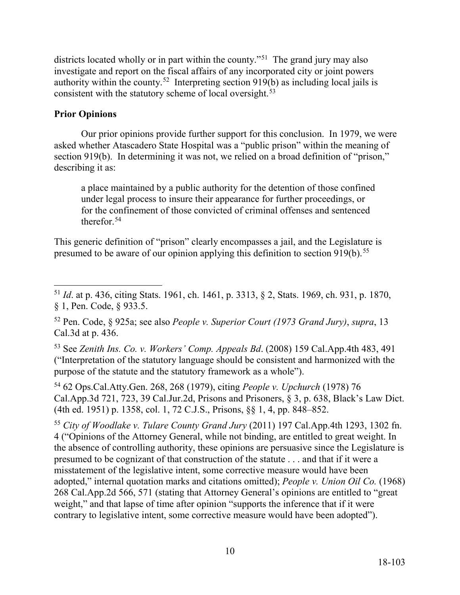districts located wholly or in part within the county."<sup>51</sup> The grand jury may also authority within the county.<sup>52</sup> Interpreting section  $919(b)$  as including local jails is investigate and report on the fiscal affairs of any incorporated city or joint powers consistent with the statutory scheme of local oversight.<sup>[53](#page-9-2)</sup>

## **Prior Opinions**

 asked whether Atascadero State Hospital was a "public prison" within the meaning of Our prior opinions provide further support for this conclusion. In 1979, we were section 919(b). In determining it was not, we relied on a broad definition of "prison," describing it as:

a place maintained by a public authority for the detention of those confined under legal process to insure their appearance for further proceedings, or for the confinement of those convicted of criminal offenses and sentenced therefor.[54](#page-9-3) 

presumed to be aware of our opinion applying this definition to section  $919(b)$ .<sup>55</sup> This generic definition of "prison" clearly encompasses a jail, and the Legislature is

<span id="page-9-2"></span>53 See *Zenith Ins. Co. v. Workers' Comp. Appeals Bd*. (2008) 159 Cal.App.4th 483, 491 ("Interpretation of the statutory language should be consistent and harmonized with the purpose of the statute and the statutory framework as a whole").

<span id="page-9-3"></span> 54 62 Ops.Cal.Atty.Gen. 268, 268 (1979), citing *People v. Upchurch* (1978) 76 [Cal.App.3d](https://Cal.App.3d) 721, 723, 39 [Cal.Jur.2d,](https://Cal.Jur.2d) Prisons and Prisoners, § 3, p. 638, Black's Law Dict. (4th ed. 1951) p. 1358, col. 1, 72 C.J.S., Prisons, §§ 1, 4, pp. 848–852.

<span id="page-9-4"></span> presumed to be cognizant of that construction of the statute . . . and that if it were a <sup>55</sup>*City of Woodlake v. Tulare County Grand Jury* (2011) 197 Cal.App.4th 1293, 1302 fn. 4 ("Opinions of the Attorney General, while not binding, are entitled to great weight. In the absence of controlling authority, these opinions are persuasive since the Legislature is misstatement of the legislative intent, some corrective measure would have been adopted," internal quotation marks and citations omitted); *People v. Union Oil Co.* (1968) 268 [Cal.App.2d](https://Cal.App.2d) 566, 571 (stating that Attorney General's opinions are entitled to "great weight," and that lapse of time after opinion "supports the inference that if it were contrary to legislative intent, some corrective measure would have been adopted").

<span id="page-9-0"></span><sup>-</sup> <sup>51</sup>*Id*. at p. 436, citing Stats. 1961, ch. 1461, p. 3313, § 2, Stats. 1969, ch. 931, p. 1870, § 1, Pen. Code, § 933.5.

<span id="page-9-1"></span> Cal.3d at p. 436. 52 Pen. Code, § 925a; see also *People v. Superior Court (1973 Grand Jury)*, *supra*, 13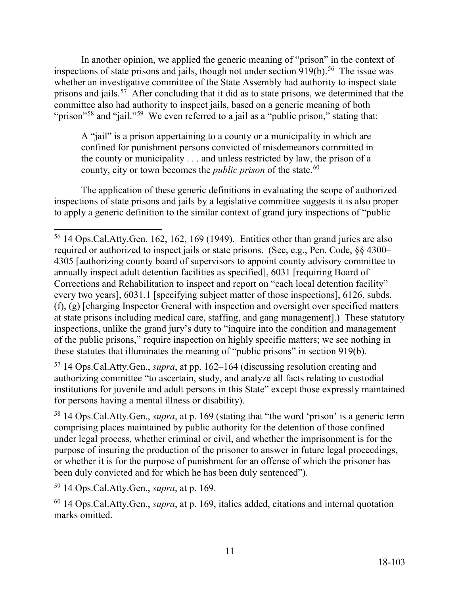inspections of state prisons and jails, though not under section  $919(b)$ .<sup>[56](#page-10-0)</sup> The issue was prisons and jails.<sup>57</sup> After concluding that it did as to state prisons, we determined that the "prison"<sup>[58](#page-10-2)</sup> and "jail."<sup>[59](#page-10-3)</sup> We even referred to a jail as a "public prison," stating that: In another opinion, we applied the generic meaning of "prison" in the context of whether an investigative committee of the State Assembly had authority to inspect state committee also had authority to inspect jails, based on a generic meaning of both

 the county or municipality . . . and unless restricted by law, the prison of a A "jail" is a prison appertaining to a county or a municipality in which are confined for punishment persons convicted of misdemeanors committed in county, city or town becomes the *public prison* of the state.<sup>60</sup>

The application of these generic definitions in evaluating the scope of authorized inspections of state prisons and jails by a legislative committee suggests it is also proper to apply a generic definition to the similar context of grand jury inspections of "public

<span id="page-10-1"></span>57 14 Ops.Cal.Atty.Gen., *supra*, at pp. 162–164 (discussing resolution creating and authorizing committee "to ascertain, study, and analyze all facts relating to custodial institutions for juvenile and adult persons in this State" except those expressly maintained for persons having a mental illness or disability).

<span id="page-10-2"></span>58 14 Ops.Cal.Atty.Gen., *supra*, at p. 169 (stating that "the word 'prison' is a generic term comprising places maintained by public authority for the detention of those confined under legal process, whether criminal or civil, and whether the imprisonment is for the purpose of insuring the production of the prisoner to answer in future legal proceedings, or whether it is for the purpose of punishment for an offense of which the prisoner has been duly convicted and for which he has been duly sentenced").

<span id="page-10-3"></span>59 14 Ops.Cal.Atty.Gen., *supra*, at p. 169.

<span id="page-10-4"></span>60 14 Ops.Cal.Atty.Gen., *supra*, at p. 169, italics added, citations and internal quotation marks omitted.

<span id="page-10-0"></span><sup>-</sup><sup>56</sup> 14 Ops.Cal.Atty.Gen. 162, 162, 169 (1949). Entities other than grand juries are also required or authorized to inspect jails or state prisons. (See, e.g., Pen. Code, §§ 4300– 4305 [authorizing county board of supervisors to appoint county advisory committee to annually inspect adult detention facilities as specified], 6031 [requiring Board of Corrections and Rehabilitation to inspect and report on "each local detention facility" every two years], 6031.1 [specifying subject matter of those inspections], 6126, subds. (f), (g) [charging Inspector General with inspection and oversight over specified matters at state prisons including medical care, staffing, and gang management].) These statutory inspections, unlike the grand jury's duty to "inquire into the condition and management of the public prisons," require inspection on highly specific matters; we see nothing in these statutes that illuminates the meaning of "public prisons" in section 919(b).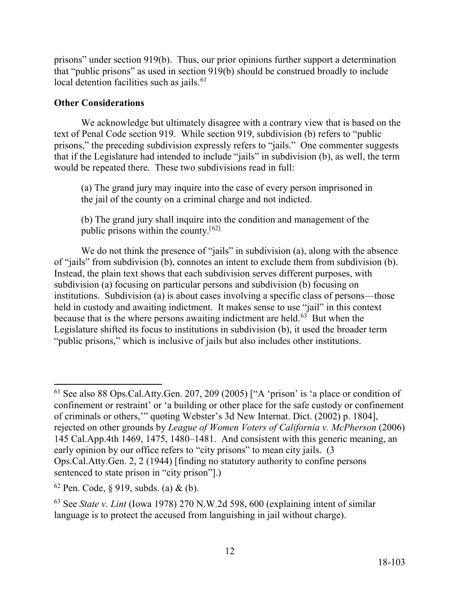local detention facilities such as jails.<sup>[61](#page-11-0)</sup> prisons" under section 919(b). Thus, our prior opinions further support a determination that "public prisons" as used in section 919(b) should be construed broadly to include

# **Other Considerations**

 text of Penal Code section 919. While section 919, subdivision (b) refers to "public We acknowledge but ultimately disagree with a contrary view that is based on the prisons," the preceding subdivision expressly refers to "jails." One commenter suggests that if the Legislature had intended to include "jails" in subdivision (b), as well, the term would be repeated there. These two subdivisions read in full:

(a) The grand jury may inquire into the case of every person imprisoned in the jail of the county on a criminal charge and not indicted.

public prisons within the county.<sup>[[62\]](#page-11-1)</sup> (b) The grand jury shall inquire into the condition and management of the

 Instead, the plain text shows that each subdivision serves different purposes, with held in custody and awaiting indictment. It makes sense to use "jail" in this context because that is the where persons awaiting indictment are held.<sup>63</sup> But when the We do not think the presence of "jails" in subdivision (a), along with the absence of "jails" from subdivision (b), connotes an intent to exclude them from subdivision (b). subdivision (a) focusing on particular persons and subdivision (b) focusing on institutions. Subdivision (a) is about cases involving a specific class of persons—those Legislature shifted its focus to institutions in subdivision (b), it used the broader term "public prisons," which is inclusive of jails but also includes other institutions.

 $\overline{a}$ 

<span id="page-11-0"></span> $61$  See also 88 Ops.Cal.Atty.Gen. 207, 209 (2005) ["A 'prison' is 'a place or condition of confinement or restraint' or 'a building or other place for the safe custody or confinement of criminals or others,'" quoting Webster's 3d New Internat. Dict. (2002) p. 1804], rejected on other grounds by *League of Women Voters of California v. McPherson* (2006) 145 Cal.App.4th 1469, 1475, 1480–1481. And consistent with this generic meaning, an early opinion by our office refers to "city prisons" to mean city jails. (3) Ops.Cal.Atty.Gen. 2, 2 (1944) [finding no statutory authority to confine persons sentenced to state prison in "city prison"].)

<span id="page-11-1"></span> $62$  Pen. Code,  $\S 919$ , subds. (a) & (b).

<span id="page-11-2"></span><sup>63</sup> See *State v. Lint* (Iowa 1978) 270 N.W.2d 598, 600 (explaining intent of similar language is to protect the accused from languishing in jail without charge).